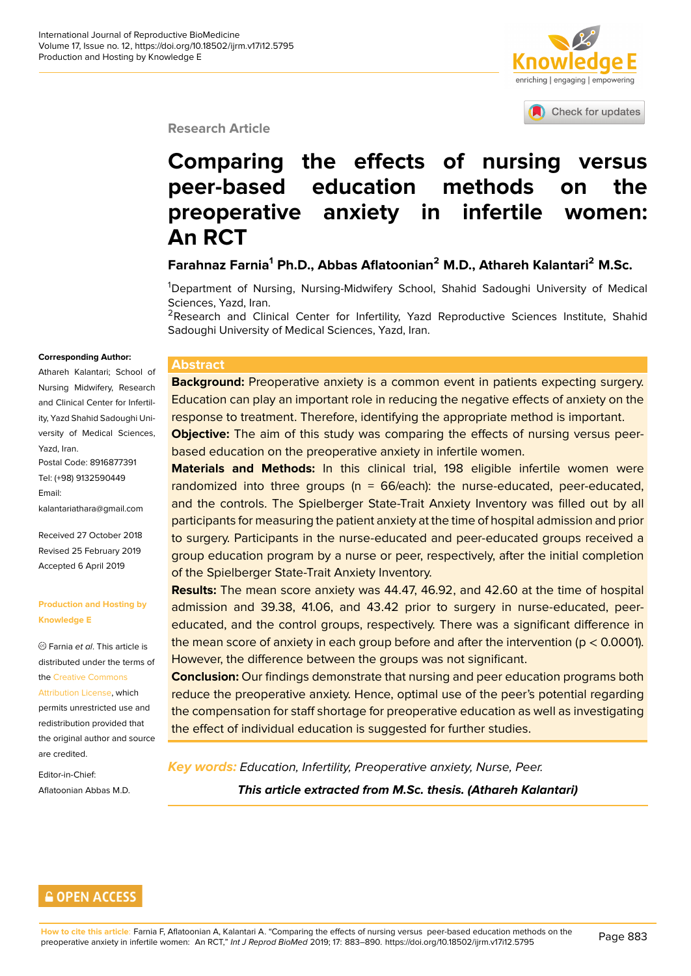

Check for updates

#### **Research Article**

# **Comparing the effects of nur[sing versus](http://crossmark.crossref.org/dialog/?doi=10.18502/ijrm.v17i12.5795&domain=pdf&date_stamp=2018-01-27) peer-based education methods on the preoperative anxiety in infertile women: An RCT**

**Farahnaz Farnia<sup>1</sup> Ph.D., Abbas Aflatoonian<sup>2</sup> M.D., Athareh Kalantari<sup>2</sup> M.Sc.**

<sup>1</sup>Department of Nursing, Nursing-Midwifery School, Shahid Sadoughi University of Medical Sciences, Yazd, Iran.

<sup>2</sup>Research and Clinical Center for Infertility, Yazd Reproductive Sciences Institute, Shahid Sadoughi University of Medical Sciences, Yazd, Iran.

#### **Corresponding Author:**

Athareh Kalantari; School of Nursing Midwifery, Research and Clinical Center for Infertility, Yazd Shahid Sadoughi University of Medical Sciences, Yazd, Iran.

Postal Code: 8916877391 Tel: (+98) 9132590449 Email: kalantariathara@gmail.com

Received 27 October 2018 Revised 25 February 2019 [Accepted 6 April 2019](mailto:kalantariathara@gmail.com)

#### **Production and Hosting by Knowledge E**

Farnia *et al*. This article is distributed under the terms of the Creative Commons

Attribution License, which permits unrestricted use and redistribution provided that the [original author and](https://creativecommons.org/licenses/by/4.0/) source [are credited.](https://creativecommons.org/licenses/by/4.0/)

Editor-in-Chief: Aflatoonian Abbas M.D.

#### **Abstract**

**Background:** Preoperative anxiety is a common event in patients expecting surgery. Education can play an important role in reducing the negative effects of anxiety on the response to treatment. Therefore, identifying the appropriate method is important.

**Objective:** The aim of this study was comparing the effects of nursing versus peerbased education on the preoperative anxiety in infertile women.

**Materials and Methods:** In this clinical trial, 198 eligible infertile women were randomized into three groups (n = 66/each): the nurse-educated, peer-educated, and the controls. The Spielberger State-Trait Anxiety Inventory was filled out by all participants for measuring the patient anxiety at the time of hospital admission and prior to surgery. Participants in the nurse-educated and peer-educated groups received a group education program by a nurse or peer, respectively, after the initial completion of the Spielberger State-Trait Anxiety Inventory.

**Results:** The mean score anxiety was 44.47, 46.92, and 42.60 at the time of hospital admission and 39.38, 41.06, and 43.42 prior to surgery in nurse-educated, peereducated, and the control groups, respectively. There was a significant difference in the mean score of anxiety in each group before and after the intervention ( $p < 0.0001$ ). However, the difference between the groups was not significant.

**Conclusion:** Our findings demonstrate that nursing and peer education programs both reduce the preoperative anxiety. Hence, optimal use of the peer's potential regarding the compensation for staff shortage for preoperative education as well as investigating the effect of individual education is suggested for further studies.

*Key words: Education, Infertility, Preoperative anxiety, Nurse, Peer.*

*This article extracted from M.Sc. thesis. (Athareh Kalantari)*

### **GOPEN ACCESS**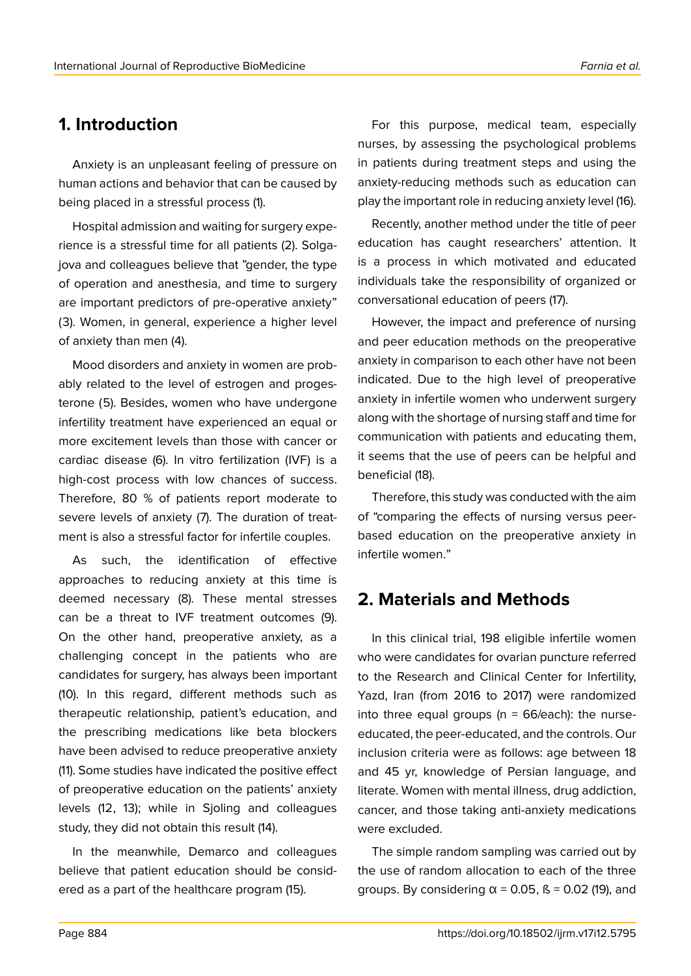# **1. Introduction**

Anxiety is an unpleasant feeling of pressure on human actions and behavior that can be caused by being placed in a stressful process (1).

Hospital admission and waiting for surgery experience is a stressful time for all patients (2). Solgajova and colleagues believe that "gender, the type of operation and anesthesia, and time to surgery are important predictors of pre-operative anxiety" (3). Women, in general, experience a higher level of anxiety than men (4).

Mood disorders and anxiety in women are probably related to the level of estrogen and progesterone (5). Besides, women who have undergone infertility treatment have experienced an equal or more excitement levels than those with cancer or cardiac disease (6). In vitro fertilization (IVF) is a high-cost process with low chances of success. Therefore, 80 % of patients report moderate to severe levels of anxiety (7). The duration of treatment is also a stressful factor for infertile couples.

As such, the identification of effective approaches to reducing anxiety at this time is deemed necessary (8). These mental stresses can be a threat to IVF treatment outcomes (9). On the other hand, preoperative anxiety, as a challenging concept in the patients who are candidates for surgery, has always been important (10). In this regard, different methods such as therapeutic relationship, patient's education, and the prescribing medications like beta blockers have been advised to reduce preoperative anxiety (11). Some studies have indicated the positive effect of preoperative education on the patients' anxiety levels (12, 13); while in Sjoling and colleagues study, they did not obtain this result (14).

In the meanwhile, Demarco and colleagues believe that patient education should be considered as a part of the healthcare program (15).

For this purpose, medical team, especially nurses, by assessing the psychological problems in patients during treatment steps and using the anxiety-reducing methods such as education can play the important role in reducing anxiety level (16).

Recently, another method under the title of peer education has caught researchers' attention. It is a process in which motivated and educated individuals take the responsibility of organized or conversational education of peers (17).

However, the impact and preference of nursing and peer education methods on the preoperative anxiety in comparison to each other have not been indicated. Due to the high level of preoperative anxiety in infertile women who underwent surgery along with the shortage of nursing staff and time for communication with patients and educating them, it seems that the use of peers can be helpful and beneficial (18).

Therefore, this study was conducted with the aim of "comparing the effects of nursing versus peerbased education on the preoperative anxiety in infertile women."

# **2. Materials and Methods**

In this clinical trial, 198 eligible infertile women who were candidates for ovarian puncture referred to the Research and Clinical Center for Infertility, Yazd, Iran (from 2016 to 2017) were randomized into three equal groups ( $n = 66$ /each): the nurseeducated, the peer-educated, and the controls. Our inclusion criteria were as follows: age between 18 and 45 yr, knowledge of Persian language, and literate. Women with mental illness, drug addiction, cancer, and those taking anti-anxiety medications were excluded.

The simple random sampling was carried out by the use of random allocation to each of the three groups. By considering  $\alpha$  = 0.05, ß = 0.02 (19), and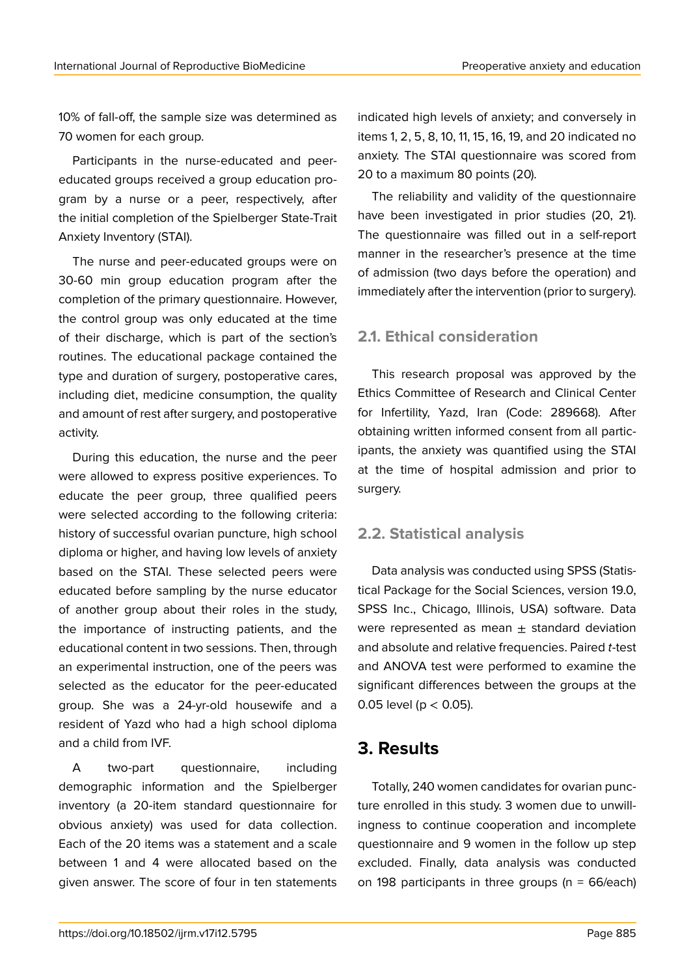10% of fall-off, the sample size was determined as 70 women for each group.

Participants in the nurse-educated and peereducated groups received a group education program by a nurse or a peer, respectively, after the initial completion of the Spielberger State-Trait Anxiety Inventory (STAI).

The nurse and peer-educated groups were on 30-60 min group education program after the completion of the primary questionnaire. However, the control group was only educated at the time of their discharge, which is part of the section's routines. The educational package contained the type and duration of surgery, postoperative cares, including diet, medicine consumption, the quality and amount of rest after surgery, and postoperative activity.

During this education, the nurse and the peer were allowed to express positive experiences. To educate the peer group, three qualified peers were selected according to the following criteria: history of successful ovarian puncture, high school diploma or higher, and having low levels of anxiety based on the STAI. These selected peers were educated before sampling by the nurse educator of another group about their roles in the study, the importance of instructing patients, and the educational content in two sessions. Then, through an experimental instruction, one of the peers was selected as the educator for the peer-educated group. She was a 24-yr-old housewife and a resident of Yazd who had a high school diploma and a child from IVF.

A two-part questionnaire, including demographic information and the Spielberger inventory (a 20-item standard questionnaire for obvious anxiety) was used for data collection. Each of the 20 items was a statement and a scale between 1 and 4 were allocated based on the given answer. The score of four in ten statements indicated high levels of anxiety; and conversely in items 1, 2, 5, 8, 10, 11, 15, 16, 19, and 20 indicated no anxiety. The STAI questionnaire was scored from 20 to a maximum 80 points (20).

The reliability and validity of the questionnaire have been investigated in prior studies (20, 21). The questionnaire was filled out in a self-report manner in the researcher's presence at the time of admission (two days before the operation) and immediately after the intervention (prior to surgery).

### **2.1. Ethical consideration**

This research proposal was approved by the Ethics Committee of Research and Clinical Center for Infertility, Yazd, Iran (Code: 289668). After obtaining written informed consent from all participants, the anxiety was quantified using the STAI at the time of hospital admission and prior to surgery.

### **2.2. Statistical analysis**

Data analysis was conducted using SPSS (Statistical Package for the Social Sciences, version 19.0, SPSS Inc., Chicago, Illinois, USA) software. Data were represented as mean  $\pm$  standard deviation and absolute and relative frequencies. Paired *t*-test and ANOVA test were performed to examine the significant differences between the groups at the 0.05 level ( $p < 0.05$ ).

# **3. Results**

Totally, 240 women candidates for ovarian puncture enrolled in this study. 3 women due to unwillingness to continue cooperation and incomplete questionnaire and 9 women in the follow up step excluded. Finally, data analysis was conducted on 198 participants in three groups ( $n = 66$ /each)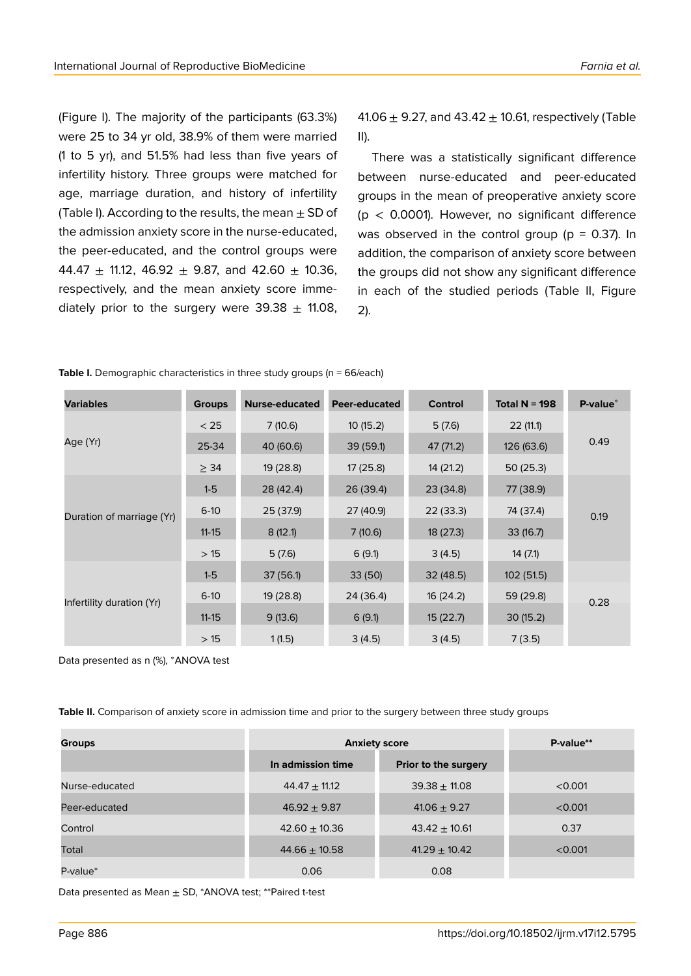(Figure I). The majority of the participants (63.3%) were 25 to 34 yr old, 38.9% of them were married (1 to 5 yr), and 51.5% had less than five years of infertility history. Three groups were matched for age, marriage duration, and history of infertility (Table I). According to the results, the mean  $\pm$  SD of the admission anxiety score in the nurse-educated, the peer-educated, and the control groups were 44.47  $\pm$  11.12, 46.92  $\pm$  9.87, and 42.60  $\pm$  10.36, respectively, and the mean anxiety score immediately prior to the surgery were  $39.38 \pm 11.08$ ,

41.06  $\pm$  9.27, and 43.42  $\pm$  10.61, respectively (Table II).

There was a statistically significant difference between nurse-educated and peer-educated groups in the mean of preoperative anxiety score ( $p$  < 0.0001). However, no significant difference was observed in the control group ( $p = 0.37$ ). In addition, the comparison of anxiety score between the groups did not show any significant difference in each of the studied periods (Table II, Figure 2).

| <b>Variables</b>          | <b>Groups</b> | <b>Nurse-educated</b> | Peer-educated | <b>Control</b> | Total $N = 198$ | P-value* |
|---------------------------|---------------|-----------------------|---------------|----------------|-----------------|----------|
| Age (Yr)                  | < 25          | 7(10.6)               | 10(15.2)      | 5(7.6)         | 22(11.1)        | 0.49     |
|                           | 25-34         | 40 (60.6)             | 39 (59.1)     | 47 (71.2)      | 126 (63.6)      |          |
|                           | $\geq$ 34     | 19 (28.8)             | 17(25.8)      | 14 (21.2)      | 50(25.3)        |          |
| Duration of marriage (Yr) | $1-5$         | 28 (42.4)             | 26 (39.4)     | 23 (34.8)      | 77 (38.9)       | 0.19     |
|                           | $6-10$        | 25 (37.9)             | 27 (40.9)     | 22(33.3)       | 74 (37.4)       |          |
|                           | $11 - 15$     | 8(12.1)               | 7(10.6)       | 18 (27.3)      | 33(16.7)        |          |
|                           | >15           | 5(7.6)                | 6(9.1)        | 3(4.5)         | 14(7.1)         |          |
| Infertility duration (Yr) | $1-5$         | 37(56.1)              | 33(50)        | 32(48.5)       | 102 (51.5)      |          |
|                           | $6-10$        | 19 (28.8)             | 24 (36.4)     | 16 (24.2)      | 59 (29.8)       | 0.28     |
|                           | $11 - 15$     | 9(13.6)               | 6(9.1)        | 15(22.7)       | 30(15.2)        |          |
|                           | >15           | 1(1.5)                | 3(4.5)        | 3(4.5)         | 7(3.5)          |          |

**Table I.** Demographic characteristics in three study groups (n = 66/each)

Data presented as n (%), \*ANOVA test

**Table II.** Comparison of anxiety score in admission time and prior to the surgery between three study groups

| <b>Groups</b>  | <b>Anxiety score</b> | P-value**            |         |
|----------------|----------------------|----------------------|---------|
|                | In admission time    | Prior to the surgery |         |
| Nurse-educated | $44.47 \pm 11.12$    | $39.38 \pm 11.08$    | < 0.001 |
| Peer-educated  | $46.92 \pm 9.87$     | $41.06 \pm 9.27$     | < 0.001 |
| Control        | $42.60 \pm 10.36$    | $43.42 \pm 10.61$    | 0.37    |
| Total          | $44.66 \pm 10.58$    | $41.29 \pm 10.42$    | < 0.001 |
| P-value*       | 0.06                 | 0.08                 |         |

Data presented as Mean  $\pm$  SD, \*ANOVA test; \*\* Paired t-test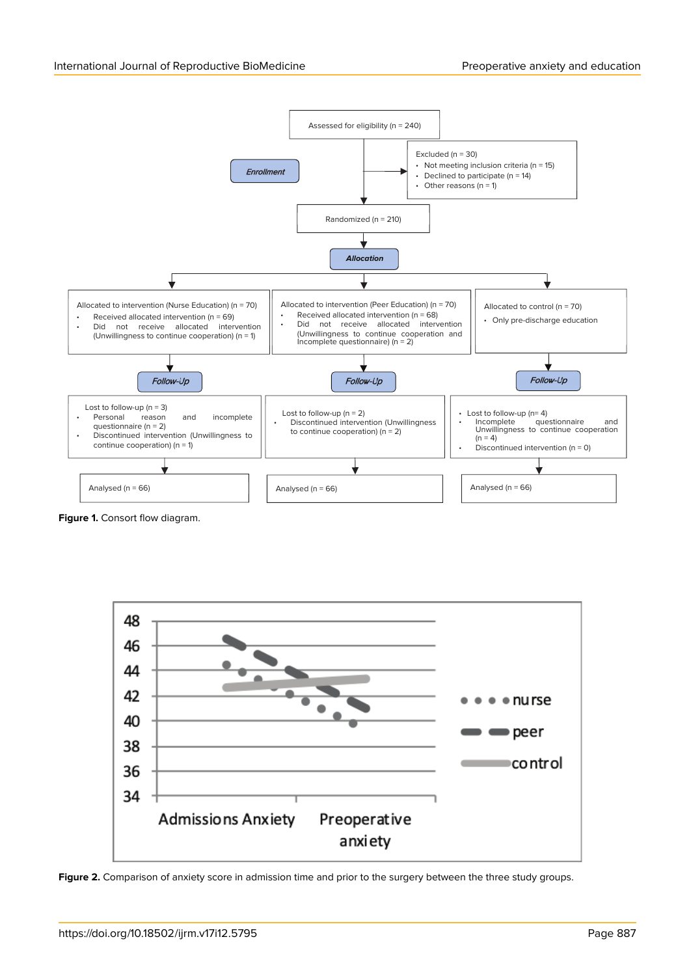

**Figure 1.** Consort flow diagram.

![](_page_4_Figure_4.jpeg)

**Figure 2.** Comparison of anxiety score in admission time and prior to the surgery between the three study groups.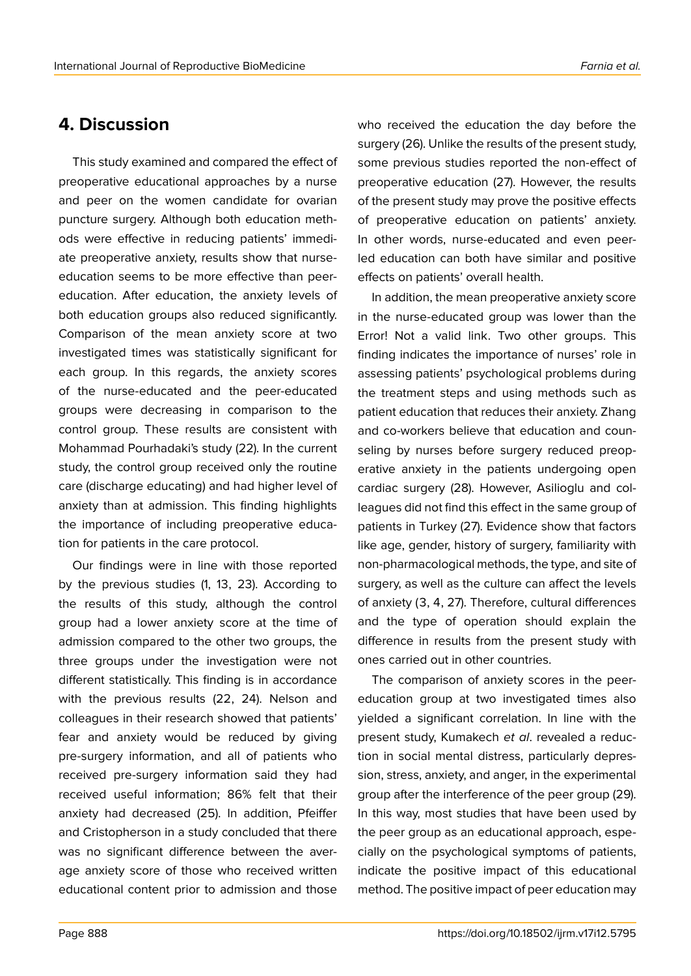# **4. Discussion**

This study examined and compared the effect of preoperative educational approaches by a nurse and peer on the women candidate for ovarian puncture surgery. Although both education methods were effective in reducing patients' immediate preoperative anxiety, results show that nurseeducation seems to be more effective than peereducation. After education, the anxiety levels of both education groups also reduced significantly. Comparison of the mean anxiety score at two investigated times was statistically significant for each group. In this regards, the anxiety scores of the nurse-educated and the peer-educated groups were decreasing in comparison to the control group. These results are consistent with Mohammad Pourhadaki's study (22). In the current study, the control group received only the routine care (discharge educating) and had higher level of anxiety than at admission. This finding highlights the importance of including preoperative education for patients in the care protocol.

Our findings were in line with those reported by the previous studies (1, 13, 23). According to the results of this study, although the control group had a lower anxiety score at the time of admission compared to the other two groups, the three groups under the investigation were not different statistically. This finding is in accordance with the previous results (22, 24). Nelson and colleagues in their research showed that patients' fear and anxiety would be reduced by giving pre-surgery information, and all of patients who received pre-surgery information said they had received useful information; 86% felt that their anxiety had decreased (25). In addition, Pfeiffer and Cristopherson in a study concluded that there was no significant difference between the average anxiety score of those who received written educational content prior to admission and those

who received the education the day before the surgery (26). Unlike the results of the present study, some previous studies reported the non-effect of preoperative education (27). However, the results of the present study may prove the positive effects of preoperative education on patients' anxiety. In other words, nurse-educated and even peerled education can both have similar and positive effects on patients' overall health.

In addition, the mean preoperative anxiety score in the nurse-educated group was lower than the Error! Not a valid link. Two other groups. This finding indicates the importance of nurses' role in assessing patients' psychological problems during the treatment steps and using methods such as patient education that reduces their anxiety. Zhang and co-workers believe that education and counseling by nurses before surgery reduced preoperative anxiety in the patients undergoing open cardiac surgery (28). However, Asilioglu and colleagues did not find this effect in the same group of patients in Turkey (27). Evidence show that factors like age, gender, history of surgery, familiarity with non-pharmacological methods, the type, and site of surgery, as well as the culture can affect the levels of anxiety (3, 4, 27). Therefore, cultural differences and the type of operation should explain the difference in results from the present study with ones carried out in other countries.

The comparison of anxiety scores in the peereducation group at two investigated times also yielded a significant correlation. In line with the present study, Kumakech *et al*. revealed a reduction in social mental distress, particularly depression, stress, anxiety, and anger, in the experimental group after the interference of the peer group (29). In this way, most studies that have been used by the peer group as an educational approach, especially on the psychological symptoms of patients, indicate the positive impact of this educational method. The positive impact of peer education may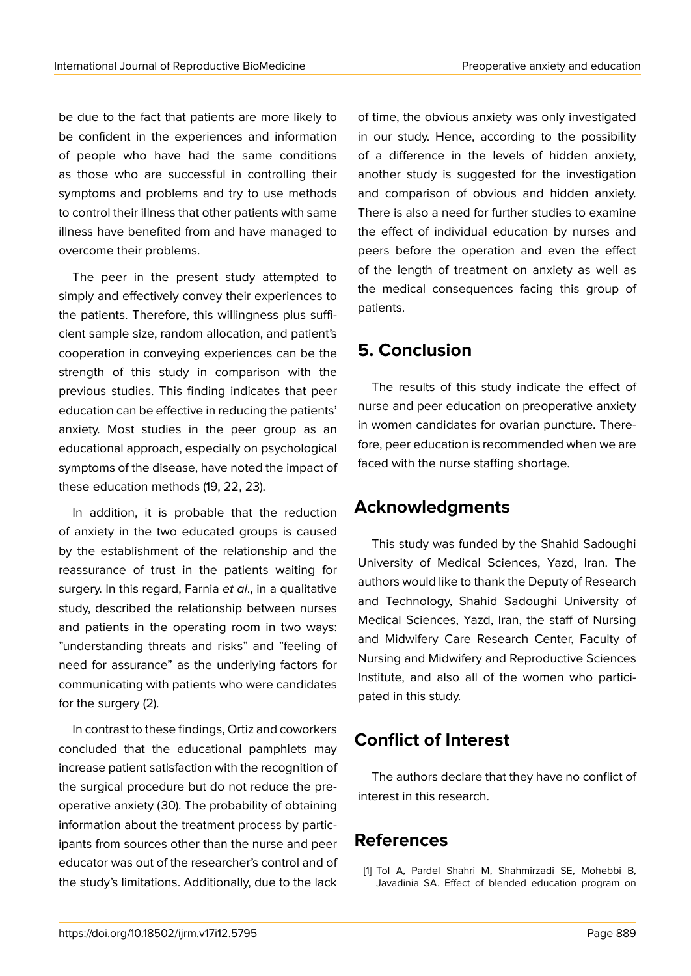be due to the fact that patients are more likely to be confident in the experiences and information of people who have had the same conditions as those who are successful in controlling their symptoms and problems and try to use methods to control their illness that other patients with same illness have benefited from and have managed to overcome their problems.

The peer in the present study attempted to simply and effectively convey their experiences to the patients. Therefore, this willingness plus sufficient sample size, random allocation, and patient's cooperation in conveying experiences can be the strength of this study in comparison with the previous studies. This finding indicates that peer education can be effective in reducing the patients' anxiety. Most studies in the peer group as an educational approach, especially on psychological symptoms of the disease, have noted the impact of these education methods (19, 22, 23).

In addition, it is probable that the reduction of anxiety in the two educated groups is caused by the establishment of the relationship and the reassurance of trust in the patients waiting for surgery. In this regard, Farnia *et al*., in a qualitative study, described the relationship between nurses and patients in the operating room in two ways: "understanding threats and risks" and "feeling of need for assurance" as the underlying factors for communicating with patients who were candidates for the surgery (2).

In contrast to these findings, Ortiz and coworkers concluded that the educational pamphlets may increase patient satisfaction with the recognition of the surgical procedure but do not reduce the preoperative anxiety (30). The probability of obtaining information about the treatment process by participants from sources other than the nurse and peer educator was out of the researcher's control and of the study's limitations. Additionally, due to the lack of time, the obvious anxiety was only investigated in our study. Hence, according to the possibility of a difference in the levels of hidden anxiety, another study is suggested for the investigation and comparison of obvious and hidden anxiety. There is also a need for further studies to examine the effect of individual education by nurses and peers before the operation and even the effect of the length of treatment on anxiety as well as the medical consequences facing this group of patients.

# **5. Conclusion**

The results of this study indicate the effect of nurse and peer education on preoperative anxiety in women candidates for ovarian puncture. Therefore, peer education is recommended when we are faced with the nurse staffing shortage.

### **Acknowledgments**

This study was funded by the Shahid Sadoughi University of Medical Sciences, Yazd, Iran. The authors would like to thank the Deputy of Research and Technology, Shahid Sadoughi University of Medical Sciences, Yazd, Iran, the staff of Nursing and Midwifery Care Research Center, Faculty of Nursing and Midwifery and Reproductive Sciences Institute, and also all of the women who participated in this study.

# **Conflict of Interest**

The authors declare that they have no conflict of interest in this research.

# **References**

[1] Tol A, Pardel Shahri M, Shahmirzadi SE, Mohebbi B, Javadinia SA. Effect of blended education program on